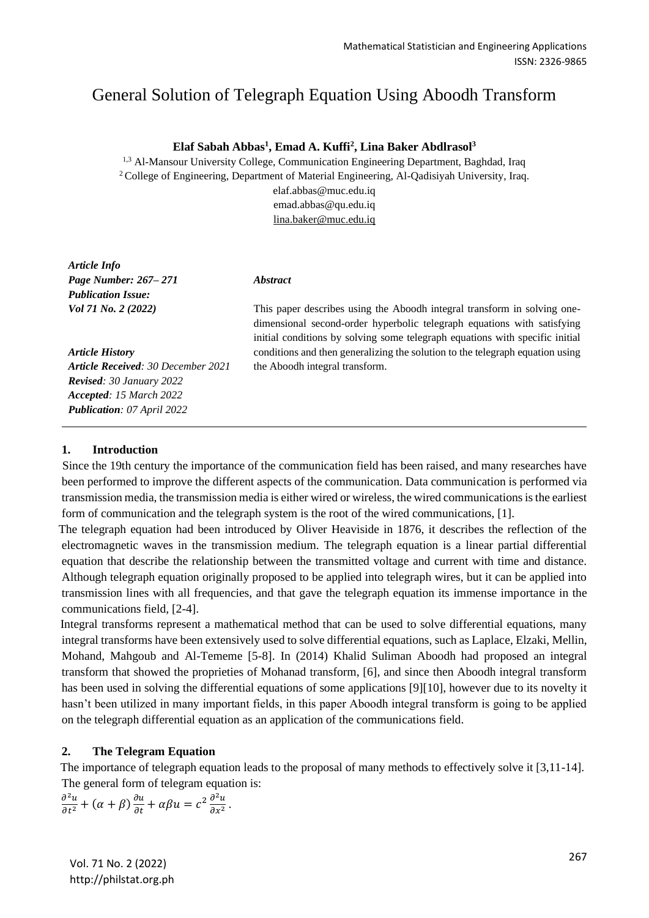# General Solution of Telegraph Equation Using Aboodh Transform

### **Elaf Sabah Abbas<sup>1</sup> , Emad A. Kuffi<sup>2</sup> , Lina Baker Abdlrasol<sup>3</sup>**

<sup>1,3</sup> Al-Mansour University College, Communication Engineering Department, Baghdad, Iraq <sup>2</sup> College of Engineering, Department of Material Engineering, Al-Qadisiyah University, Iraq. elaf.abbas@muc.edu.iq emad.abbas@qu.edu.iq

lina.baker@muc.edu.iq

*Article Info Page Number: 267– 271 Publication Issue: Vol 71 No. 2 (2022)*

*Article History Article Received: 30 December 2021 Revised: 30 January 2022 Accepted: 15 March 2022 Publication: 07 April 2022*

#### *Abstract*

This paper describes using the Aboodh integral transform in solving onedimensional second-order hyperbolic telegraph equations with satisfying initial conditions by solving some telegraph equations with specific initial conditions and then generalizing the solution to the telegraph equation using the Aboodh integral transform.

#### **1. Introduction**

 Since the 19th century the importance of the communication field has been raised, and many researches have been performed to improve the different aspects of the communication. Data communication is performed via transmission media, the transmission media is either wired or wireless, the wired communications is the earliest form of communication and the telegraph system is the root of the wired communications, [1].

 The telegraph equation had been introduced by Oliver Heaviside in 1876, it describes the reflection of the electromagnetic waves in the transmission medium. The telegraph equation is a linear partial differential equation that describe the relationship between the transmitted voltage and current with time and distance. Although telegraph equation originally proposed to be applied into telegraph wires, but it can be applied into transmission lines with all frequencies, and that gave the telegraph equation its immense importance in the communications field, [2-4].

 Integral transforms represent a mathematical method that can be used to solve differential equations, many integral transforms have been extensively used to solve differential equations, such as Laplace, Elzaki, Mellin, Mohand, Mahgoub and Al-Tememe [5-8]. In (2014) Khalid Suliman Aboodh had proposed an integral transform that showed the proprieties of Mohanad transform, [6], and since then Aboodh integral transform has been used in solving the differential equations of some applications [9][10], however due to its novelty it hasn't been utilized in many important fields, in this paper Aboodh integral transform is going to be applied on the telegraph differential equation as an application of the communications field.

## **2. The Telegram Equation**

 The importance of telegraph equation leads to the proposal of many methods to effectively solve it [3,11-14]. The general form of telegram equation is:

$$
\frac{\partial^2 u}{\partial t^2} + (\alpha + \beta) \frac{\partial u}{\partial t} + \alpha \beta u = c^2 \frac{\partial^2 u}{\partial x^2}.
$$

<sup>267</sup> Vol. 71 No. 2 (2022) http://philstat.org.ph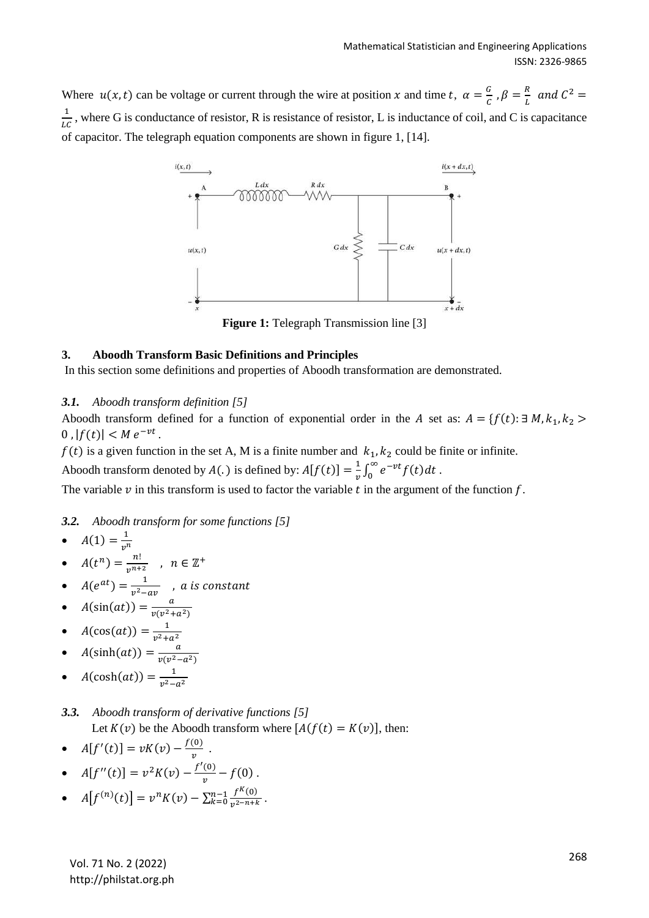Where  $u(x,t)$  can be voltage or current through the wire at position x and time t,  $\alpha = \frac{a}{c}$  $\frac{G}{C}$  ,  $\beta = \frac{R}{L}$  $\frac{R}{L}$  and  $C^2 =$ 1  $\frac{1}{LC}$ , where G is conductance of resistor, R is resistance of resistor, L is inductance of coil, and C is capacitance of capacitor. The telegraph equation components are shown in figure 1, [14].



## **3. Aboodh Transform Basic Definitions and Principles**

In this section some definitions and properties of Aboodh transformation are demonstrated.

## *3.1. Aboodh transform definition [5]*

Aboodh transform defined for a function of exponential order in the A set as:  $A = \{f(t): \exists M, k_1, k_2 > 1\}$ 0,  $|f(t)| < M e^{-vt}$ .

 $f(t)$  is a given function in the set A, M is a finite number and  $k_1, k_2$  could be finite or infinite.

Aboodh transform denoted by  $A(.)$  is defined by:  $A[f(t)] = \frac{1}{t}$  $\frac{1}{v}\int_0^\infty e^{-vt}f(t)dt$ .

The variable  $\nu$  in this transform is used to factor the variable  $t$  in the argument of the function  $f$ .

*3.2. Aboodh transform for some functions [5]*

• 
$$
A(1) = \frac{1}{v^n}
$$

- $A(t^n) = \frac{n!}{n^n+1}$  $\boldsymbol{\mathit{v}}$  $\frac{n!}{n+2}$ ,  $n \in \mathbb{Z}^+$
- $A(e^{at}) = \frac{1}{a^2}$  $\frac{1}{v^2-av}$  , a is constant
- $A(\sin(at)) = \frac{a}{\pi(a^2)}$  $v(v^2 + a^2)$
- $A(\cos(at)) = \frac{1}{a^2 + b^2}$  $v^2 + a^2$ •  $A(\sinh(at)) = \frac{a}{\sqrt{a^2}}$
- $v(v^2 a^2)$ •  $A(\cosh(at)) = \frac{1}{a^2}$  $v^2-a^2$

## *3.3. Aboodh transform of derivative functions [5]*

Let  $K(v)$  be the Aboodh transform where  $[A(f(t) = K(v)],$  then:

•  $A[f'(t)] = vK(v) - \frac{f(0)}{v}$  $\frac{\omega}{v}$ .

• 
$$
A[f''(t)] = v^2 K(v) - \frac{f'(0)}{v} - f(0)
$$
.

• 
$$
A[f^{(n)}(t)] = v^n K(v) - \sum_{k=0}^{n-1} \frac{f^{(k)}(0)}{v^{2-n+k}}
$$
.

<sup>268</sup> Vol. 71 No. 2 (2022) http://philstat.org.ph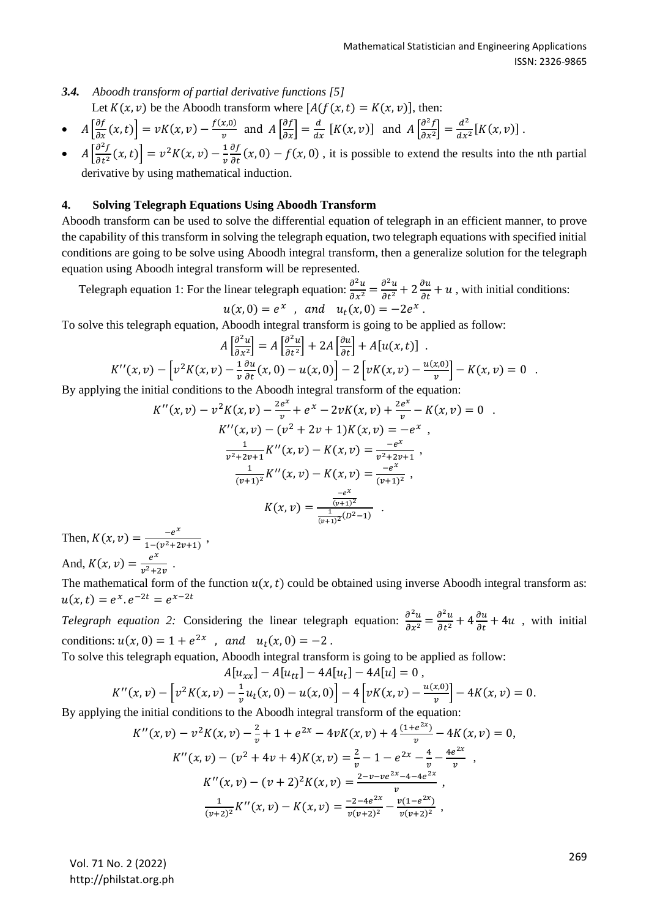- *3.4. Aboodh transform of partial derivative functions [5]* Let  $K(x, v)$  be the Aboodh transform where  $[A(f(x, t) = K(x, v)],$  then:
- $A\left[\frac{\partial f}{\partial x}(x,t)\right] = vK(x,v) \frac{f(x,0)}{v}$  $\frac{x,0)}{v}$  and  $A\left[\frac{\partial f}{\partial x}\right] = \frac{d}{dx}$  $\frac{d}{dx}$  [K(x, v)] and  $A \left[ \frac{\partial^2 f}{\partial x^2} \right]$  $\left[\frac{\partial^2 f}{\partial x^2}\right] = \frac{d^2}{dx^2}$  $\frac{u}{dx^2}[K(x,v)]$ .
- $A\left[\frac{\partial^2 f}{\partial t^2}\right]$  $\left[\frac{\partial^2 f}{\partial t^2}(x,t)\right] = v^2 K(x,v) - \frac{1}{v}$  $\boldsymbol{\mathit{v}}$ дf  $\frac{\partial f}{\partial t}(x, 0) - f(x, 0)$ , it is possible to extend the results into the nth partial derivative by using mathematical induction.

## **4. Solving Telegraph Equations Using Aboodh Transform**

Aboodh transform can be used to solve the differential equation of telegraph in an efficient manner, to prove the capability of this transform in solving the telegraph equation, two telegraph equations with specified initial conditions are going to be solve using Aboodh integral transform, then a generalize solution for the telegraph equation using Aboodh integral transform will be represented.

Telegraph equation 1: For the linear telegraph equation:  $\frac{\partial^2 u}{\partial x^2}$  $\frac{\partial^2 u}{\partial x^2} = \frac{\partial^2 u}{\partial t^2}$  $\frac{\partial^2 u}{\partial t^2} + 2 \frac{\partial u}{\partial t} + u$ , with initial conditions:  $u(x, 0) = e^x$ , and  $u_t(x, 0) = -2e^x$ .

To solve this telegraph equation, Aboodh integral transform is going to be applied as follow:

$$
A\left[\frac{\partial^2 u}{\partial x^2}\right] = A\left[\frac{\partial^2 u}{\partial t^2}\right] + 2A\left[\frac{\partial u}{\partial t}\right] + A[u(x, t)]
$$
  

$$
K''(x, v) - \left[v^2 K(x, v) - \frac{1}{v} \frac{\partial u}{\partial t}(x, 0) - u(x, 0)\right] - 2\left[vK(x, v) - \frac{u(x, 0)}{v}\right] - K(x, v) = 0
$$

By applying the initial conditions to the Aboodh integral transform of the equation:

$$
K''(x, v) - v^2 K(x, v) - \frac{2e^x}{v} + e^x - 2vK(x, v) + \frac{2e^x}{v} - K(x, v) = 0
$$
  

$$
K''(x, v) - (v^2 + 2v + 1)K(x, v) = -e^x
$$
  

$$
\frac{1}{v^2 + 2v + 1} K''(x, v) - K(x, v) = \frac{-e^x}{v^2 + 2v + 1},
$$
  

$$
\frac{1}{(v+1)^2} K''(x, v) - K(x, v) = \frac{-e^x}{(v+1)^2},
$$
  

$$
K(x, v) = \frac{-e^x}{(v+1)^2}
$$

Then,  $K(x, v) = \frac{-e^{x}}{1 - (v^2 + 3v)^2}$  $\frac{-e}{1-(v^2+2v+1)}$ , And,  $K(x, v) = \frac{e^{x}}{x^{2}+1}$  $\frac{e}{v^2+2v}$ .

The mathematical form of the function  $u(x,t)$  could be obtained using inverse Aboodh integral transform as:  $u(x,t) = e^x \cdot e^{-2t} = e^{x-2t}$ 

*Telegraph equation 2:* Considering the linear telegraph equation:  $\frac{\partial^2 u}{\partial x^2}$  $\frac{\partial^2 u}{\partial x^2} = \frac{\partial^2 u}{\partial t^2}$  $\frac{\partial^2 u}{\partial t^2} + 4 \frac{\partial u}{\partial t} + 4u$ , with initial conditions:  $u(x, 0) = 1 + e^{2x}$ , and  $u_t(x, 0) = -2$ .

To solve this telegraph equation, Aboodh integral transform is going to be applied as follow:

$$
A[u_{xx}] - A[u_{tt}] - 4A[u_t] - 4A[u] = 0,
$$

$$
K''(x,v) - \left[v^2K(x,v) - \frac{1}{v}u_t(x,0) - u(x,0)\right] - 4\left[vK(x,v) - \frac{u(x,0)}{v}\right] - 4K(x,v) = 0.
$$

By applying the initial conditions to the Aboodh integral transform of the equation:

$$
K''(x, v) - v^2 K(x, v) - \frac{2}{v} + 1 + e^{2x} - 4vK(x, v) + 4\frac{(1 + e^{2x})}{v} - 4K(x, v) = 0,
$$
  
\n
$$
K''(x, v) - (v^2 + 4v + 4)K(x, v) = \frac{2}{v} - 1 - e^{2x} - \frac{4}{v} - \frac{4e^{2x}}{v},
$$
  
\n
$$
K''(x, v) - (v + 2)^2 K(x, v) = \frac{2 - v - ve^{2x} - 4 - 4e^{2x}}{v},
$$
  
\n
$$
\frac{1}{(v+2)^2} K''(x, v) - K(x, v) = \frac{-2 - 4e^{2x}}{v(v+2)^2} - \frac{v(1 - e^{2x})}{v(v+2)^2},
$$

<sup>269</sup> Vol. 71 No. 2 (2022) http://philstat.org.ph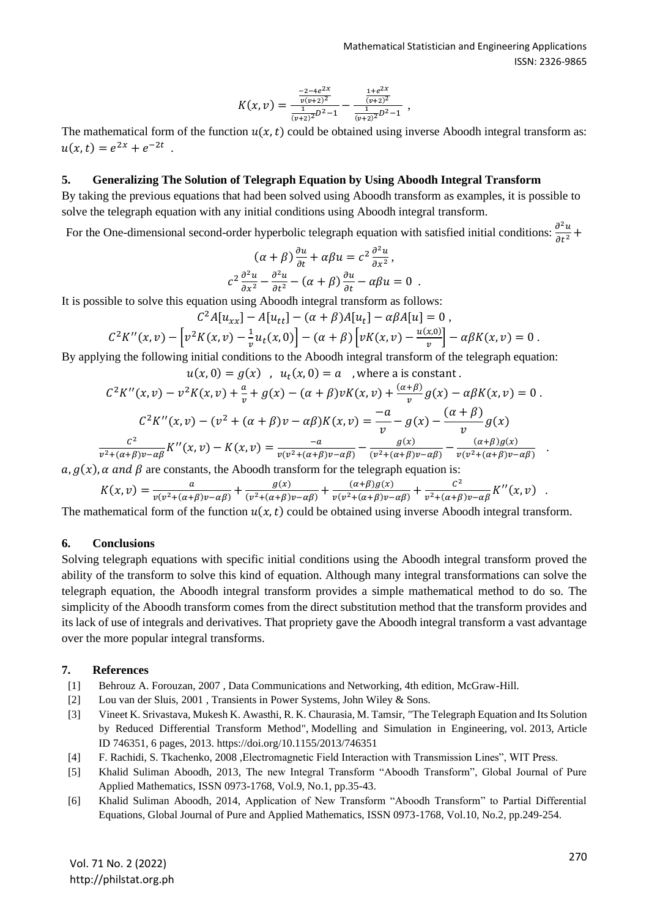$$
K(x,v) = \frac{\frac{-2-4e^{2x}}{v(v+2)^2}}{\frac{1}{(v+2)^2}D^2-1} - \frac{\frac{1+e^{2x}}{(v+2)^2}}{\frac{1}{(v+2)^2}D^2-1},
$$

The mathematical form of the function  $u(x,t)$  could be obtained using inverse Aboodh integral transform as:  $u(x,t) = e^{2x} + e^{-2t}$ .

#### **5. Generalizing The Solution of Telegraph Equation by Using Aboodh Integral Transform**

By taking the previous equations that had been solved using Aboodh transform as examples, it is possible to solve the telegraph equation with any initial conditions using Aboodh integral transform.

For the One-dimensional second-order hyperbolic telegraph equation with satisfied initial conditions:  $\frac{\partial^2 u}{\partial x^2}$  $\frac{\partial u}{\partial t^2} +$ 

$$
(\alpha + \beta) \frac{\partial u}{\partial t} + \alpha \beta u = c^2 \frac{\partial^2 u}{\partial x^2},
$$
  

$$
c^2 \frac{\partial^2 u}{\partial x^2} - \frac{\partial^2 u}{\partial t^2} - (\alpha + \beta) \frac{\partial u}{\partial t} - \alpha \beta u = 0.
$$

It is possible to solve this equation using Aboodh integral transform as follows:

$$
C^{2}A[u_{xx}] - A[u_{tt}] - (\alpha + \beta)A[u_{t}] - \alpha\beta A[u] = 0,
$$

$$
C^{2}K''(x,v) - \left[v^{2}K(x,v) - \frac{1}{v}u_{t}(x,0)\right] - (\alpha + \beta)\left[vK(x,v) - \frac{u(x,0)}{v}\right] - \alpha\beta K(x,v) = 0.
$$

By applying the following initial conditions to the Aboodh integral transform of the telegraph equation:

 $u(x, 0) = g(x)$ ,  $u_t(x, 0) = a$ , where a is constant.

$$
C^{2}K''(x,v) - v^{2}K(x,v) + \frac{a}{v} + g(x) - (\alpha + \beta)vK(x,v) + \frac{(\alpha + \beta)}{v}g(x) - \alpha\beta K(x,v) = 0.
$$
  

$$
C^{2}K''(x,v) - (v^{2} + (\alpha + \beta)v - \alpha\beta)K(x,v) = -\frac{a}{v} - g(x) - \frac{(\alpha + \beta)}{v}g(x)
$$
  

$$
\frac{c^{2}}{v^{2} + (\alpha + \beta)v - \alpha\beta}K''(x,v) - K(x,v) = \frac{-a}{v(v^{2} + (\alpha + \beta)v - \alpha\beta)} - \frac{g(x)}{(v^{2} + (\alpha + \beta)v - \alpha\beta)} - \frac{(\alpha + \beta)g(x)}{v(v^{2} + (\alpha + \beta)v - \alpha\beta)}.
$$

 $a, g(x)$ ,  $\alpha$  and  $\beta$  are constants, the Aboodh transform for the telegraph equation is:

$$
K(x,v) = \frac{a}{v(v^2 + (\alpha + \beta)v - \alpha\beta)} + \frac{g(x)}{(v^2 + (\alpha + \beta)v - \alpha\beta)} + \frac{(\alpha + \beta)g(x)}{v(v^2 + (\alpha + \beta)v - \alpha\beta)} + \frac{c^2}{v^2 + (\alpha + \beta)v - \alpha\beta}K''(x,v) \quad .
$$

The mathematical form of the function  $u(x, t)$  could be obtained using inverse Aboodh integral transform.

### **6. Conclusions**

Solving telegraph equations with specific initial conditions using the Aboodh integral transform proved the ability of the transform to solve this kind of equation. Although many integral transformations can solve the telegraph equation, the Aboodh integral transform provides a simple mathematical method to do so. The simplicity of the Aboodh transform comes from the direct substitution method that the transform provides and its lack of use of integrals and derivatives. That propriety gave the Aboodh integral transform a vast advantage over the more popular integral transforms.

### **7. References**

- [1] Behrouz A. Forouzan, 2007 , Data Communications and Networking, 4th edition, McGraw-Hill.
- [2] Lou van der Sluis, 2001 , Transients in Power Systems, John Wiley & Sons.
- [3] Vineet K. Srivastava, Mukesh K. Awasthi, R. K. Chaurasia, M. Tamsir, "The Telegraph Equation and Its Solution by Reduced Differential Transform Method", Modelling and Simulation in Engineering, vol. 2013, Article ID 746351, 6 pages, 2013. https://doi.org/10.1155/2013/746351
- [4] F. Rachidi, S. Tkachenko, 2008 ,Electromagnetic Field Interaction with Transmission Lines", WIT Press.
- [5] Khalid Suliman Aboodh, 2013, The new Integral Transform "Aboodh Transform", Global Journal of Pure Applied Mathematics, ISSN 0973-1768, Vol.9, No.1, pp.35-43.
- [6] Khalid Suliman Aboodh, 2014, Application of New Transform "Aboodh Transform" to Partial Differential Equations, Global Journal of Pure and Applied Mathematics, ISSN 0973-1768, Vol.10, No.2, pp.249-254.